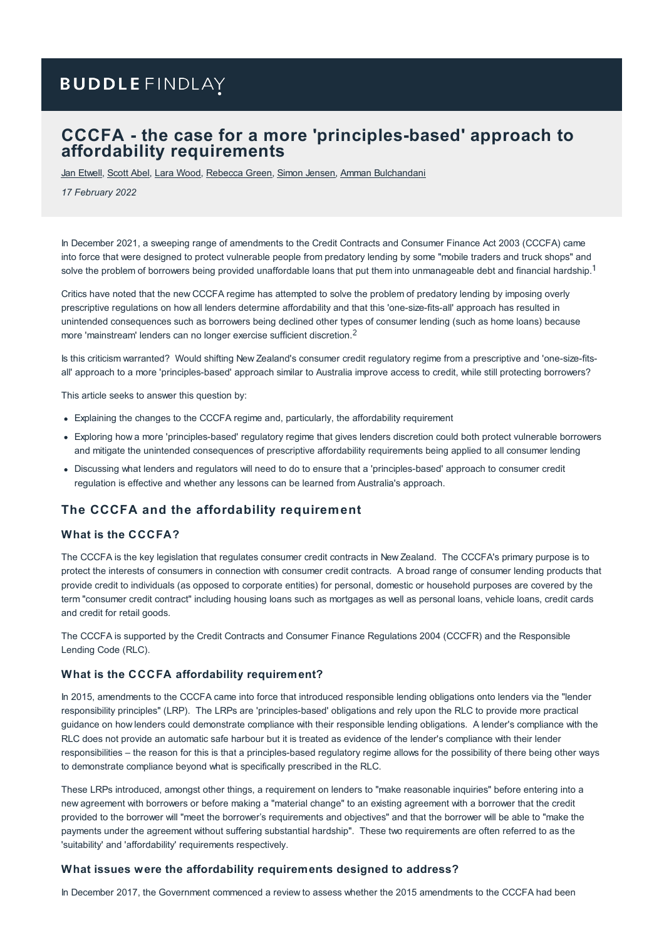# **BUDDLE FINDLAY**

# **CCCFA - the case for a more 'principles-based' approach to affordability requirements**

Jan [Etwell](https://www.buddlefindlay.com/people/jan-etwell/), [Scott](https://www.buddlefindlay.com/people/scott-abel/) Abel, Lara [Wood](https://www.buddlefindlay.com/people/lara-wood/), [Rebecca](https://www.buddlefindlay.com/people/rebecca-green/) Green, Simon [Jensen](https://www.buddlefindlay.com/people/simon-jensen/), Amman [Bulchandani](https://www.buddlefindlay.com/people/amman-bulchandani/)

*17 February 2022*

In December 2021, a sweeping range of amendments to the Credit Contracts and Consumer Finance Act 2003 (CCCFA) came into force that were designed to protect vulnerable people from predatory lending by some "mobile traders and truck shops" and solve the problem of borrowers being provided unaffordable loans that put them into unmanageable debt and financial hardship.<sup>1</sup>

Critics have noted that the new CCCFA regime has attempted to solve the problem of predatory lending by imposing overly prescriptive regulations on how all lenders determine affordability and that this 'one-size-fits-all' approach has resulted in unintended consequences such as borrowers being declined other types of consumer lending (such as home loans) because more 'mainstream' lenders can no longer exercise sufficient discretion.

Is this criticism warranted? Would shifting New Zealand's consumer credit regulatory regime from a prescriptive and 'one-size-fitsall' approach to a more 'principles-based' approach similar to Australia improve access to credit, while still protecting borrowers?

This article seeks to answer this question by:

- Explaining the changes to the CCCFA regime and, particularly, the affordability requirement
- Exploring how a more 'principles-based' regulatory regime that gives lenders discretion could both protect vulnerable borrowers and mitigate the unintended consequences of prescriptive affordability requirements being applied to all consumer lending
- Discussing what lenders and regulators will need to do to ensure that a 'principles-based' approach to consumer credit regulation is effective and whether any lessons can be learned from Australia's approach.

# **The CCCFA and the affordability requirement**

# **What is the CCCFA?**

The CCCFA is the key legislation that regulates consumer credit contracts in New Zealand. The CCCFA's primary purpose is to protect the interests of consumers in connection with consumer credit contracts. A broad range of consumer lending products that provide credit to individuals (as opposed to corporate entities) for personal, domestic or household purposes are covered by the term "consumer credit contract" including housing loans such as mortgages as well as personal loans, vehicle loans, credit cards and credit for retail goods.

The CCCFA is supported by the Credit Contracts and Consumer Finance Regulations 2004 (CCCFR) and the Responsible Lending Code (RLC).

# **What is the CCCFA affordability requirement?**

In 2015, amendments to the CCCFA came into force that introduced responsible lending obligations onto lenders via the "lender responsibility principles" (LRP). The LRPs are 'principles-based' obligations and rely upon the RLC to provide more practical guidance on how lenders could demonstrate compliance with their responsible lending obligations. A lender's compliance with the RLC does not provide an automatic safe harbour but it is treated as evidence of the lender's compliance with their lender responsibilities – the reason for this is that a principles-based regulatory regime allows for the possibility of there being other ways to demonstrate compliance beyond what is specifically prescribed in the RLC.

These LRPs introduced, amongst other things, a requirement on lenders to "make reasonable inquiries" before entering into a new agreement with borrowers or before making a "material change" to an existing agreement with a borrower that the credit provided to the borrower will "meet the borrower's requirements and objectives" and that the borrower will be able to "make the payments under the agreement without suffering substantial hardship". These two requirements are often referred to as the 'suitability' and 'affordability' requirements respectively.

#### **What issues were the affordability requirements designed to address?**

In December 2017, the Government commenced a review to assess whether the 2015 amendments to the CCCFA had been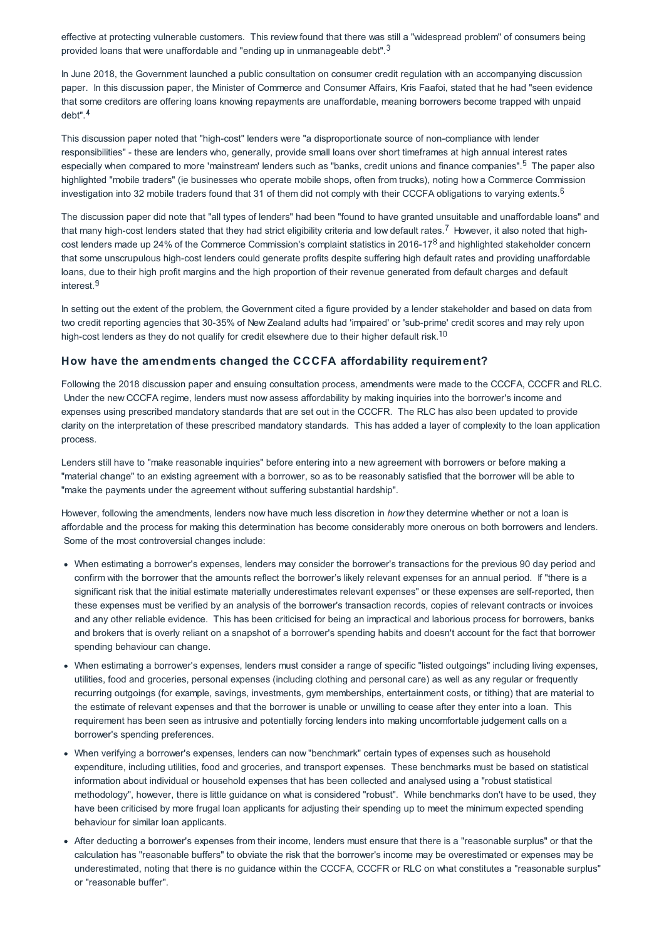effective at protecting vulnerable customers. This review found that there was still a "widespread problem" of consumers being provided loans that were unaffordable and "ending up in unmanageable debt". $3$ 

In June 2018, the Government launched a public consultation on consumer credit regulation with an accompanying discussion paper. In this discussion paper, the Minister of Commerce and Consumer Affairs, Kris Faafoi, stated that he had "seen evidence that some creditors are offering loans knowing repayments are unaffordable, meaning borrowers become trapped with unpaid debt".

This discussion paper noted that "high-cost" lenders were "a disproportionate source of non-compliance with lender responsibilities" - these are lenders who, generally, provide small loans over short timeframes at high annual interest rates especially when compared to more 'mainstream' lenders such as "banks, credit unions and finance companies".<sup>5</sup> The paper also highlighted "mobile traders" (ie businesses who operate mobile shops, often from trucks), noting how a Commerce Commission investigation into 32 mobile traders found that 31 of them did not comply with their CCCFA obligations to varying extents.<sup>6</sup>

The discussion paper did note that "all types of lenders" had been "found to have granted unsuitable and unaffordable loans" and that many high-cost lenders stated that they had strict eligibility criteria and low default rates.<sup>7</sup> However, it also noted that highcost lenders made up 24% of the Commerce Commission's complaint statistics in 2016-17<sup>8</sup> and highlighted stakeholder concern that some unscrupulous high-cost lenders could generate profits despite suffering high default rates and providing unaffordable loans, due to their high profit margins and the high proportion of their revenue generated from default charges and default interest.<sup>9</sup>

In setting out the extent of the problem, the Government cited a figure provided by a lender stakeholder and based on data from two credit reporting agencies that 30-35% of New Zealand adults had 'impaired' or 'sub-prime' credit scores and may rely upon high-cost lenders as they do not qualify for credit elsewhere due to their higher default risk.<sup>10</sup>

# **How have the amendments changed the CCCFA affordability requirement?**

Following the 2018 discussion paper and ensuing consultation process, amendments were made to the CCCFA, CCCFR and RLC. Under the new CCCFA regime, lenders must now assess affordability by making inquiries into the borrower's income and expenses using prescribed mandatory standards that are set out in the CCCFR. The RLC has also been updated to provide clarity on the interpretation of these prescribed mandatory standards. This has added a layer of complexity to the loan application process.

Lenders still have to "make reasonable inquiries" before entering into a new agreement with borrowers or before making a "material change" to an existing agreement with a borrower, so as to be reasonably satisfied that the borrower will be able to "make the payments under the agreement without suffering substantial hardship".

However, following the amendments, lenders now have much less discretion in *how* they determine whether or not a loan is affordable and the process for making this determination has become considerably more onerous on both borrowers and lenders. Some of the most controversial changes include:

- When estimating a borrower's expenses, lenders may consider the borrower's transactions for the previous 90 day period and confirm with the borrower that the amounts reflect the borrower's likely relevant expenses for an annual period. If "there is a significant risk that the initial estimate materially underestimates relevant expenses" or these expenses are self-reported, then these expenses must be verified by an analysis of the borrower's transaction records, copies of relevant contracts or invoices and any other reliable evidence. This has been criticised for being an impractical and laborious process for borrowers, banks and brokers that is overly reliant on a snapshot of a borrower's spending habits and doesn't account for the fact that borrower spending behaviour can change.
- When estimating a borrower's expenses, lenders must consider a range of specific "listed outgoings" including living expenses, utilities, food and groceries, personal expenses (including clothing and personal care) as well as any regular or frequently recurring outgoings (for example, savings, investments, gym memberships, entertainment costs, or tithing) that are material to the estimate of relevant expenses and that the borrower is unable or unwilling to cease after they enter into a loan. This requirement has been seen as intrusive and potentially forcing lenders into making uncomfortable judgement calls on a borrower's spending preferences.
- When verifying a borrower's expenses, lenders can now "benchmark" certain types of expenses such as household expenditure, including utilities, food and groceries, and transport expenses. These benchmarks must be based on statistical information about individual or household expenses that has been collected and analysed using a "robust statistical methodology", however, there is little guidance on what is considered "robust". While benchmarks don't have to be used, they have been criticised by more frugal loan applicants for adjusting their spending up to meet the minimum expected spending behaviour for similar loan applicants.
- After deducting a borrower's expenses from their income, lenders must ensure that there is a "reasonable surplus" or that the calculation has "reasonable buffers" to obviate the risk that the borrower's income may be overestimated or expenses may be underestimated, noting that there is no guidance within the CCCFA, CCCFR or RLC on what constitutes a "reasonable surplus" or "reasonable buffer".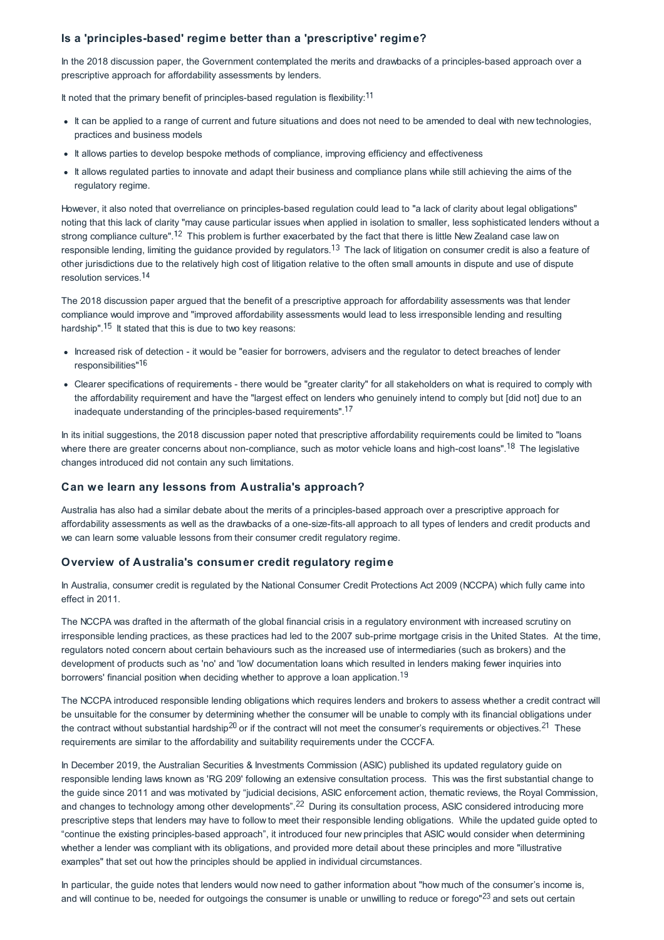# **Is a 'principles-based' regime better than a 'prescriptive' regime?**

In the 2018 discussion paper, the Government contemplated the merits and drawbacks of a principles-based approach over a prescriptive approach for affordability assessments by lenders.

It noted that the primary benefit of principles-based regulation is flexibility: $11$ 

- It can be applied to a range of current and future situations and does not need to be amended to deal with new technologies, practices and business models
- It allows parties to develop bespoke methods of compliance, improving efficiency and effectiveness
- It allows regulated parties to innovate and adapt their business and compliance plans while still achieving the aims of the regulatory regime.

However, it also noted that overreliance on principles-based regulation could lead to "a lack of clarity about legal obligations" noting that this lack of clarity "may cause particular issues when applied in isolation to smaller, less sophisticated lenders without a strong compliance culture".<sup>12</sup> This problem is further exacerbated by the fact that there is little New Zealand case law on responsible lending, limiting the guidance provided by regulators.<sup>13</sup> The lack of litigation on consumer credit is also a feature of other jurisdictions due to the relatively high cost of litigation relative to the often small amounts in dispute and use of dispute resolution services.

The 2018 discussion paper argued that the benefit of a prescriptive approach for affordability assessments was that lender compliance would improve and "improved affordability assessments would lead to less irresponsible lending and resulting hardship".  $15$  It stated that this is due to two key reasons:

- Increased risk of detection it would be "easier for borrowers, advisers and the regulator to detect breaches of lender responsibilities"<sup>16</sup>
- Clearer specifications of requirements there would be "greater clarity" for all stakeholders on what is required to comply with the affordability requirement and have the "largest effect on lenders who genuinely intend to comply but [did not] due to an inadequate understanding of the principles-based requirements".

In its initial suggestions, the 2018 discussion paper noted that prescriptive affordability requirements could be limited to "loans where there are greater concerns about non-compliance, such as motor vehicle loans and high-cost loans".<sup>18</sup> The legislative changes introduced did not contain any such limitations.

#### **Can we learn any lessons from Australia's approach?**

Australia has also had a similar debate about the merits of a principles-based approach over a prescriptive approach for affordability assessments as well as the drawbacks of a one-size-fits-all approach to all types of lenders and credit products and we can learn some valuable lessons from their consumer credit regulatory regime.

# **Overview of Australia's consumer credit regulatory regime**

In Australia, consumer credit is regulated by the National Consumer Credit Protections Act 2009 (NCCPA) which fully came into effect in 2011.

The NCCPA was drafted in the aftermath of the global financial crisis in a regulatory environment with increased scrutiny on irresponsible lending practices, as these practices had led to the 2007 sub-prime mortgage crisis in the United States. At the time, regulators noted concern about certain behaviours such as the increased use of intermediaries (such as brokers) and the development of products such as 'no' and 'low' documentation loans which resulted in lenders making fewer inquiries into borrowers' financial position when deciding whether to approve a loan application.<sup>19</sup>

The NCCPA introduced responsible lending obligations which requires lenders and brokers to assess whether a credit contract will be unsuitable for the consumer by determining whether the consumer will be unable to comply with its financial obligations under the contract without substantial hardship<sup>20</sup> or if the contract will not meet the consumer's requirements or objectives.<sup>21</sup> These requirements are similar to the affordability and suitability requirements under the CCCFA.

In December 2019, the Australian Securities & Investments Commission (ASIC) published its updated regulatory guide on responsible lending laws known as 'RG 209' following an extensive consultation process. This was the first substantial change to the guide since 2011 and was motivated by "judicial decisions, ASIC enforcement action, thematic reviews, the Royal Commission, and changes to technology among other developments".<sup>22</sup> During its consultation process, ASIC considered introducing more prescriptive steps that lenders may have to follow to meet their responsible lending obligations. While the updated guide opted to "continue the existing principles-based approach", it introduced four new principles that ASIC would consider when determining whether a lender was compliant with its obligations, and provided more detail about these principles and more "illustrative examples" that set out how the principles should be applied in individual circumstances.

In particular, the guide notes that lenders would now need to gather information about "how much of the consumer's income is, and will continue to be, needed for outgoings the consumer is unable or unwilling to reduce or forego"<sup>23</sup> and sets out certain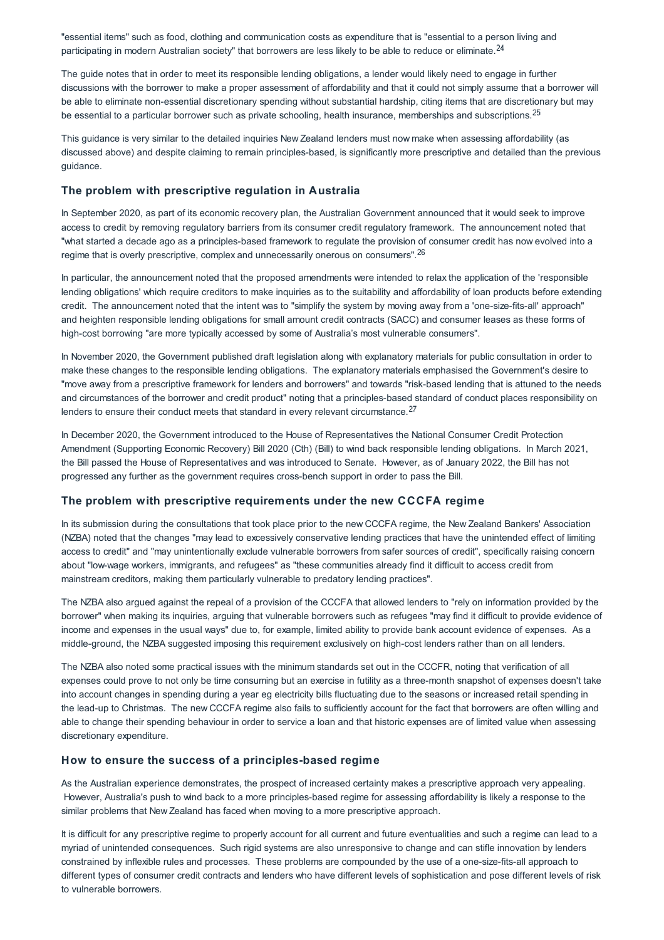"essential items" such as food, clothing and communication costs as expenditure that is "essential to a person living and participating in modern Australian society" that borrowers are less likely to be able to reduce or eliminate.<sup>24</sup>

The guide notes that in order to meet its responsible lending obligations, a lender would likely need to engage in further discussions with the borrower to make a proper assessment of affordability and that it could not simply assume that a borrower will be able to eliminate non-essential discretionary spending without substantial hardship, citing items that are discretionary but may be essential to a particular borrower such as private schooling, health insurance, memberships and subscriptions.<sup>25</sup>

This guidance is very similar to the detailed inquiries New Zealand lenders must now make when assessing affordability (as discussed above) and despite claiming to remain principles-based, is significantly more prescriptive and detailed than the previous guidance.

# **The problem with prescriptive regulation in Australia**

In September 2020, as part of its economic recovery plan, the Australian Government announced that it would seek to improve access to credit by removing regulatory barriers from its consumer credit regulatory framework. The announcement noted that "what started a decade ago as a principles-based framework to regulate the provision of consumer credit has now evolved into a regime that is overly prescriptive, complex and unnecessarily onerous on consumers". <sup>26</sup>

In particular, the announcement noted that the proposed amendments were intended to relax the application of the 'responsible lending obligations' which require creditors to make inquiries as to the suitability and affordability of loan products before extending credit. The announcement noted that the intent was to "simplify the system by moving away from a 'one-size-fits-all' approach" and heighten responsible lending obligations for small amount credit contracts (SACC) and consumer leases as these forms of high-cost borrowing "are more typically accessed by some of Australia's most vulnerable consumers".

In November 2020, the Government published draft legislation along with explanatory materials for public consultation in order to make these changes to the responsible lending obligations. The explanatory materials emphasised the Government's desire to "move away from a prescriptive framework for lenders and borrowers" and towards "risk-based lending that is attuned to the needs and circumstances of the borrower and credit product" noting that a principles-based standard of conduct places responsibility on lenders to ensure their conduct meets that standard in every relevant circumstance.<sup>27</sup>

In December 2020, the Government introduced to the House of Representatives the National Consumer Credit Protection Amendment (Supporting Economic Recovery) Bill 2020 (Cth) (Bill) to wind back responsible lending obligations. In March 2021, the Bill passed the House of Representatives and was introduced to Senate. However, as of January 2022, the Bill has not progressed any further as the government requires cross-bench support in order to pass the Bill.

#### **The problem with prescriptive requirements under the new CCCFA regime**

In its submission during the consultations that took place prior to the new CCCFA regime, the New Zealand Bankers' Association (NZBA) noted that the changes "may lead to excessively conservative lending practices that have the unintended effect of limiting access to credit" and "may unintentionally exclude vulnerable borrowers from safer sources of credit", specifically raising concern about "low-wage workers, immigrants, and refugees" as "these communities already find it difficult to access credit from mainstream creditors, making them particularly vulnerable to predatory lending practices".

The NZBA also argued against the repeal of a provision of the CCCFA that allowed lenders to "rely on information provided by the borrower" when making its inquiries, arguing that vulnerable borrowers such as refugees "may find it difficult to provide evidence of income and expenses in the usual ways" due to, for example, limited ability to provide bank account evidence of expenses. As a middle-ground, the NZBA suggested imposing this requirement exclusively on high-cost lenders rather than on all lenders.

The NZBA also noted some practical issues with the minimum standards set out in the CCCFR, noting that verification of all expenses could prove to not only be time consuming but an exercise in futility as a three-month snapshot of expenses doesn't take into account changes in spending during a year eg electricity bills fluctuating due to the seasons or increased retail spending in the lead-up to Christmas. The new CCCFA regime also fails to sufficiently account for the fact that borrowers are often willing and able to change their spending behaviour in order to service a loan and that historic expenses are of limited value when assessing discretionary expenditure.

#### **How to ensure the success of a principles-based regime**

As the Australian experience demonstrates, the prospect of increased certainty makes a prescriptive approach very appealing. However, Australia's push to wind back to a more principles-based regime for assessing affordability is likely a response to the similar problems that New Zealand has faced when moving to a more prescriptive approach.

It is difficult for any prescriptive regime to properly account for all current and future eventualities and such a regime can lead to a myriad of unintended consequences. Such rigid systems are also unresponsive to change and can stifle innovation by lenders constrained by inflexible rules and processes. These problems are compounded by the use of a one-size-fits-all approach to different types of consumer credit contracts and lenders who have different levels of sophistication and pose different levels of risk to vulnerable borrowers.